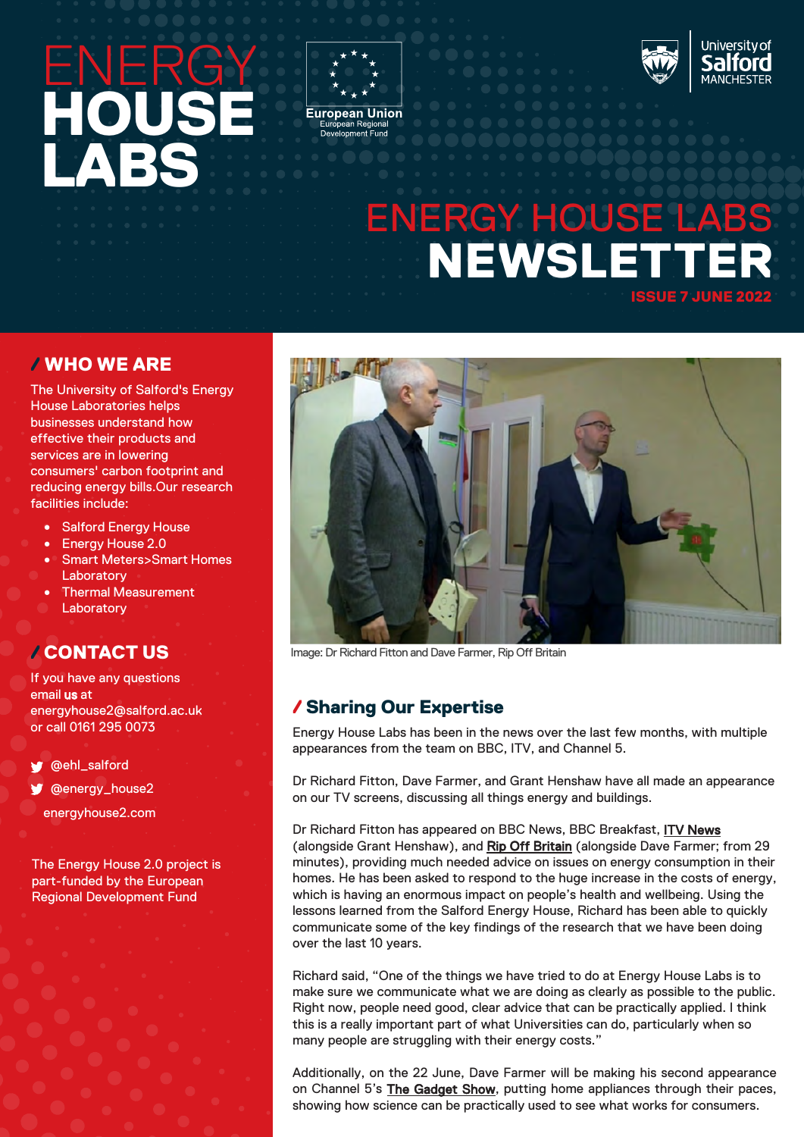# **ENERGY HOUSE** LABS



European Union



# ENERGY HOUSE LABS NEWSLETTER ISSUE 7 JUNE 2022

#### / WHO WE ARE

The University of Salford's Energy House Laboratories helps businesses understand how effective their products and services are in lowering consumers' carbon footprint and reducing energy bills.Our research facilities include:

- Salford Energy House
- Energy House 2.0
- Smart Meters>Smart Homes Laboratory
- Thermal Measurement **Laboratory**

### / CONTACT US

If you have any questions email us at [energyhouse2@salford.ac.uk](mailto:energyhouse2@salford.ac.uk) or call 0161 295 0073

- @[ehl\\_salford](https://twitter.com/ehl_salford)
- [@energy\\_house2](https://twitter.com/energy_house2) 
	- [energyhouse2.com](https://energyhouse2.salford.ac.uk/)

The Energy House 2.0 project is part-funded by the European Regional Development Fund



Image: Dr Richard Fitton and Dave Farmer, Rip Off Britain

## / Sharing Our Expertise

Energy House Labs has been in the news over the last few months, with multiple appearances from the team on BBC, ITV, and Channel 5.

Dr Richard Fitton, Dave Farmer, and Grant Henshaw have all made an appearance on our TV screens, discussing all things energy and buildings.

Dr Richard Fitton has appeared on BBC News, BBC Breakfast, [ITV News](https://www.itv.com/news/granada/2022-04-01/the-eco-test-home-discovering-ways-to-make-your-bills-cheaper) (alongside Grant Henshaw), and [Rip Off Britain](https://www.bbc.co.uk/iplayer/episode/m001788n/rip-off-britain-series-14-episode-9) (alongside Dave Farmer; from 29 minutes), providing much needed advice on issues on energy consumption in their homes. He has been asked to respond to the huge increase in the costs of energy, which is having an enormous impact on people's health and wellbeing. Using the lessons learned from the Salford Energy House, Richard has been able to quickly communicate some of the key findings of the research that we have been doing over the last 10 years.

Richard said, "One of the things we have tried to do at Energy House Labs is to make sure we communicate what we are doing as clearly as possible to the public. Right now, people need good, clear advice that can be practically applied. I think this is a really important part of what Universities can do, particularly when so many people are struggling with their energy costs."

Additionally, on the 22 June, Dave Farmer will be making his second appearance on Channel 5's [The Gadget Show,](https://www.thegadgetshow.co.uk/) putting home appliances through their paces, showing how science can be practically used to see what works for consumers.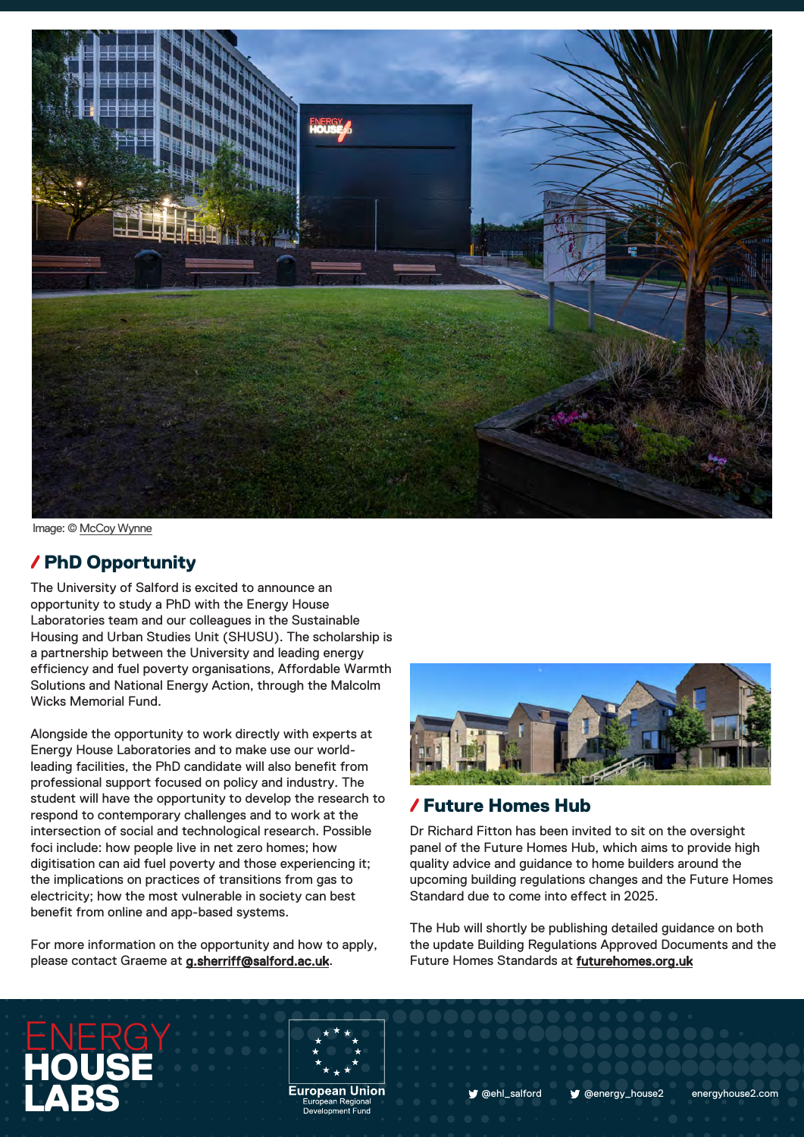

Image: © [McCoy Wynne](http://mccoywynne.co.uk/)

#### / PhD Opportunity

The University of Salford is excited to announce an opportunity to study a PhD with the Energy House Laboratories team and our colleagues in the Sustainable Housing and Urban Studies Unit (SHUSU). The scholarship is a partnership between the University and leading energy efficiency and fuel poverty organisations, Affordable Warmth Solutions and National Energy Action, through the Malcolm Wicks Memorial Fund.

Alongside the opportunity to work directly with experts at Energy House Laboratories and to make use our worldleading facilities, the PhD candidate will also benefit from professional support focused on policy and industry. The student will have the opportunity to develop the research to respond to contemporary challenges and to work at the intersection of social and technological research. Possible foci include: how people live in net zero homes; how digitisation can aid fuel poverty and those experiencing it; the implications on practices of transitions from gas to electricity; how the most vulnerable in society can best benefit from online and app-based systems.

For more information on the opportunity and how to apply, please contact Graeme at [g.sherriff@salford.ac.uk.](mailto:g.sherriff@salford.ac.uk)



#### / Future Homes Hub

Dr Richard Fitton has been invited to sit on the oversight panel of the Future Homes Hub, which aims to provide high quality advice and guidance to home builders around the upcoming building regulations changes and the Future Homes Standard due to come into effect in 2025.

The Hub will shortly be publishing detailed guidance on both the update Building Regulations Approved Documents and the Future Homes Standards at [futurehomes.org.uk](https://www.futurehomes.org.uk)

# **ENERGY HOUSE LABS** European Union **Welch Lattord** Weenergy\_house2 [energyhouse2.com](https://energyhouse2.salford.ac.uk/)<br>
Development Fund<br>
Development Fund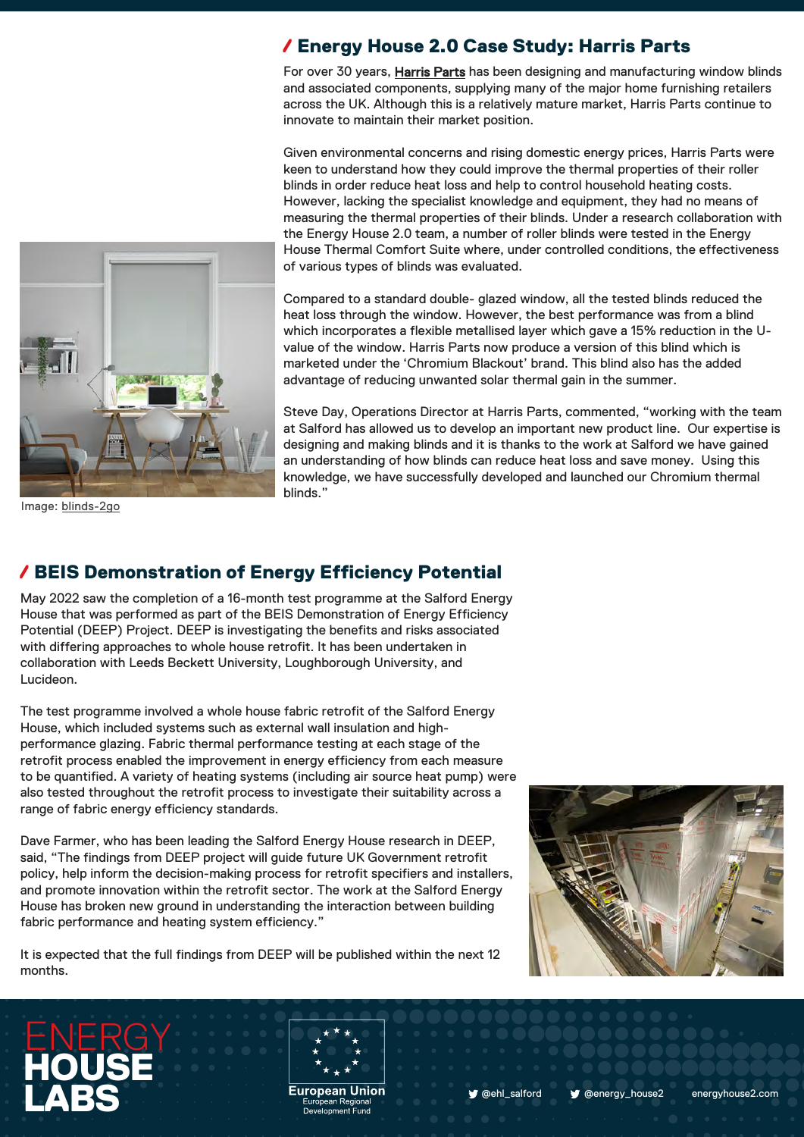#### / Energy House 2.0 Case Study: Harris Parts

For over 30 years, [Harris Parts](https://harrisparts.co.uk/index.html) has been designing and manufacturing window blinds and associated components, supplying many of the major home furnishing retailers across the UK. Although this is a relatively mature market, Harris Parts continue to innovate to maintain their market position.

Given environmental concerns and rising domestic energy prices, Harris Parts were keen to understand how they could improve the thermal properties of their roller blinds in order reduce heat loss and help to control household heating costs. However, lacking the specialist knowledge and equipment, they had no means of measuring the thermal properties of their blinds. Under a research collaboration with the Energy House 2.0 team, a number of roller blinds were tested in the Energy House Thermal Comfort Suite where, under controlled conditions, the effectiveness of various types of blinds was evaluated.

Compared to a standard double- glazed window, all the tested blinds reduced the heat loss through the window. However, the best performance was from a blind which incorporates a flexible metallised layer which gave a 15% reduction in the Uvalue of the window. Harris Parts now produce a version of this blind which is marketed under the 'Chromium Blackout' brand. This blind also has the added advantage of reducing unwanted solar thermal gain in the summer.

Steve Day, Operations Director at Harris Parts, commented, "working with the team at Salford has allowed us to develop an important new product line. Our expertise is designing and making blinds and it is thanks to the work at Salford we have gained an understanding of how blinds can reduce heat loss and save money. Using this knowledge, we have successfully developed and launched our Chromium thermal blinds."

#### / BEIS Demonstration of Energy Efficiency Potential

May 2022 saw the completion of a 16-month test programme at the Salford Energy House that was performed as part of the BEIS Demonstration of Energy Efficiency Potential (DEEP) Project. DEEP is investigating the benefits and risks associated with differing approaches to whole house retrofit. It has been undertaken in collaboration with Leeds Beckett University, Loughborough University, and Lucideon.

The test programme involved a whole house fabric retrofit of the Salford Energy House, which included systems such as external wall insulation and highperformance glazing. Fabric thermal performance testing at each stage of the retrofit process enabled the improvement in energy efficiency from each measure to be quantified. A variety of heating systems (including air source heat pump) were also tested throughout the retrofit process to investigate their suitability across a range of fabric energy efficiency standards.

Dave Farmer, who has been leading the Salford Energy House research in DEEP, said, "The findings from DEEP project will guide future UK Government retrofit policy, help inform the decision-making process for retrofit specifiers and installers, and promote innovation within the retrofit sector. The work at the Salford Energy House has broken new ground in understanding the interaction between building fabric performance and heating system efficiency."

It is expected that the full findings from DEEP will be published within the next 12 months.









**ENERGY** 

**HOUSE**